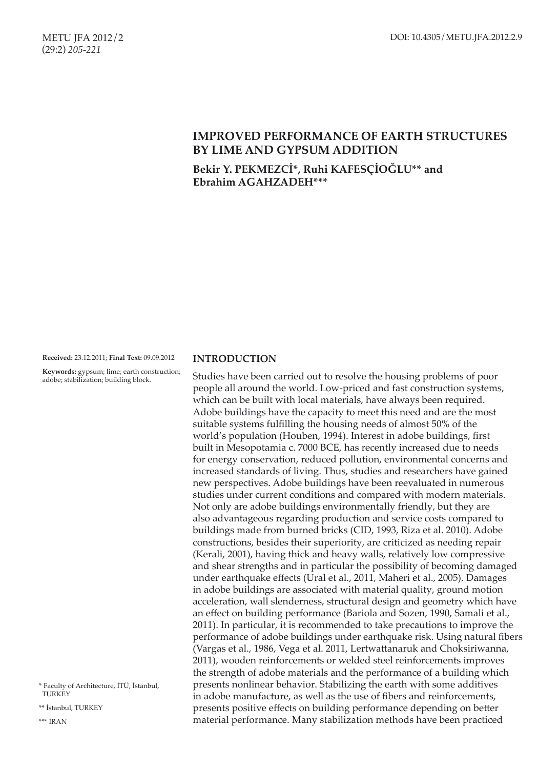# **IMPROVED PERFORMANCE OF EARTH STRUCTURES BY LIME AND GYPSUM ADDITION**

**Bekir Y. PEKMEZCİ\*, Ruhi KAFESÇİOĞLU\*\* and Ebrahim AGAHZADEH\*\*\***

**Received:** 23.12.2011; **Final Text:** 09.09.2012

**Keywords:** gypsum; lime; earth construction; adobe; stabilization; building block.

\* Faculty of Architecture, İTÜ, İstanbul, **TURKEY** 

\*\* İstanbul, TURKEY

\*\*\* İRAN

## **INTRODUCTION**

Studies have been carried out to resolve the housing problems of poor people all around the world. Low-priced and fast construction systems, which can be built with local materials, have always been required. Adobe buildings have the capacity to meet this need and are the most suitable systems fulfilling the housing needs of almost 50% of the world's population (Houben, 1994). Interest in adobe buildings, first built in Mesopotamia c. 7000 BCE, has recently increased due to needs for energy conservation, reduced pollution, environmental concerns and increased standards of living. Thus, studies and researchers have gained new perspectives. Adobe buildings have been reevaluated in numerous studies under current conditions and compared with modern materials. Not only are adobe buildings environmentally friendly, but they are also advantageous regarding production and service costs compared to buildings made from burned bricks (CID, 1993, Riza et al. 2010). Adobe constructions, besides their superiority, are criticized as needing repair (Kerali, 2001), having thick and heavy walls, relatively low compressive and shear strengths and in particular the possibility of becoming damaged under earthquake effects (Ural et al., 2011, Maheri et al., 2005). Damages in adobe buildings are associated with material quality, ground motion acceleration, wall slenderness, structural design and geometry which have an effect on building performance (Bariola and Sozen, 1990, Samali et al., 2011). In particular, it is recommended to take precautions to improve the performance of adobe buildings under earthquake risk. Using natural fibers (Vargas et al., 1986, Vega et al. 2011, Lertwattanaruk and Choksiriwanna, 2011), wooden reinforcements or welded steel reinforcements improves the strength of adobe materials and the performance of a building which presents nonlinear behavior. Stabilizing the earth with some additives in adobe manufacture, as well as the use of fibers and reinforcements, presents positive effects on building performance depending on better material performance. Many stabilization methods have been practiced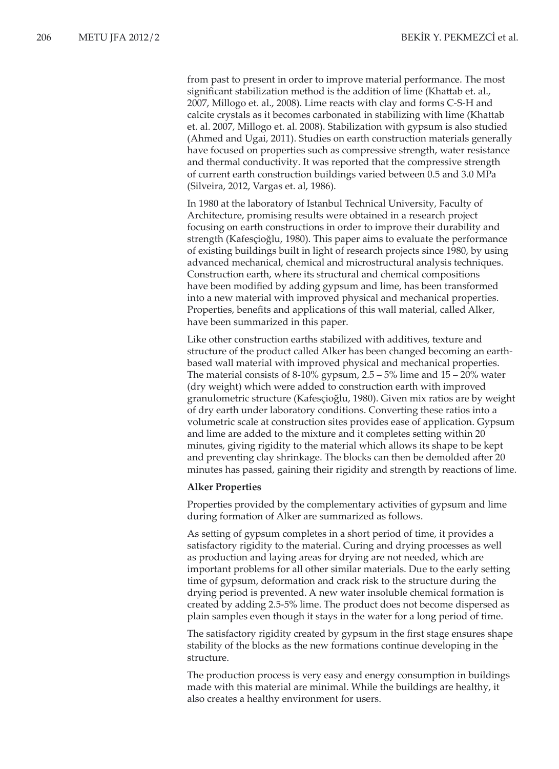from past to present in order to improve material performance. The most significant stabilization method is the addition of lime (Khattab et. al., 2007, Millogo et. al., 2008). Lime reacts with clay and forms C-S-H and calcite crystals as it becomes carbonated in stabilizing with lime (Khattab et. al. 2007, Millogo et. al. 2008). Stabilization with gypsum is also studied (Ahmed and Ugai, 2011). Studies on earth construction materials generally have focused on properties such as compressive strength, water resistance and thermal conductivity. It was reported that the compressive strength of current earth construction buildings varied between 0.5 and 3.0 MPa (Silveira, 2012, Vargas et. al, 1986).

In 1980 at the laboratory of Istanbul Technical University, Faculty of Architecture, promising results were obtained in a research project focusing on earth constructions in order to improve their durability and strength (Kafesçioğlu, 1980). This paper aims to evaluate the performance of existing buildings built in light of research projects since 1980, by using advanced mechanical, chemical and microstructural analysis techniques. Construction earth, where its structural and chemical compositions have been modified by adding gypsum and lime, has been transformed into a new material with improved physical and mechanical properties. Properties, benefits and applications of this wall material, called Alker, have been summarized in this paper.

Like other construction earths stabilized with additives, texture and structure of the product called Alker has been changed becoming an earthbased wall material with improved physical and mechanical properties. The material consists of 8-10% gypsum,  $2.5 - 5%$  lime and  $15 - 20%$  water (dry weight) which were added to construction earth with improved granulometric structure (Kafesçioğlu, 1980). Given mix ratios are by weight of dry earth under laboratory conditions. Converting these ratios into a volumetric scale at construction sites provides ease of application. Gypsum and lime are added to the mixture and it completes setting within 20 minutes, giving rigidity to the material which allows its shape to be kept and preventing clay shrinkage. The blocks can then be demolded after 20 minutes has passed, gaining their rigidity and strength by reactions of lime.

## **Alker Properties**

Properties provided by the complementary activities of gypsum and lime during formation of Alker are summarized as follows.

As setting of gypsum completes in a short period of time, it provides a satisfactory rigidity to the material. Curing and drying processes as well as production and laying areas for drying are not needed, which are important problems for all other similar materials. Due to the early setting time of gypsum, deformation and crack risk to the structure during the drying period is prevented. A new water insoluble chemical formation is created by adding 2.5-5% lime. The product does not become dispersed as plain samples even though it stays in the water for a long period of time.

The satisfactory rigidity created by gypsum in the first stage ensures shape stability of the blocks as the new formations continue developing in the structure.

The production process is very easy and energy consumption in buildings made with this material are minimal. While the buildings are healthy, it also creates a healthy environment for users.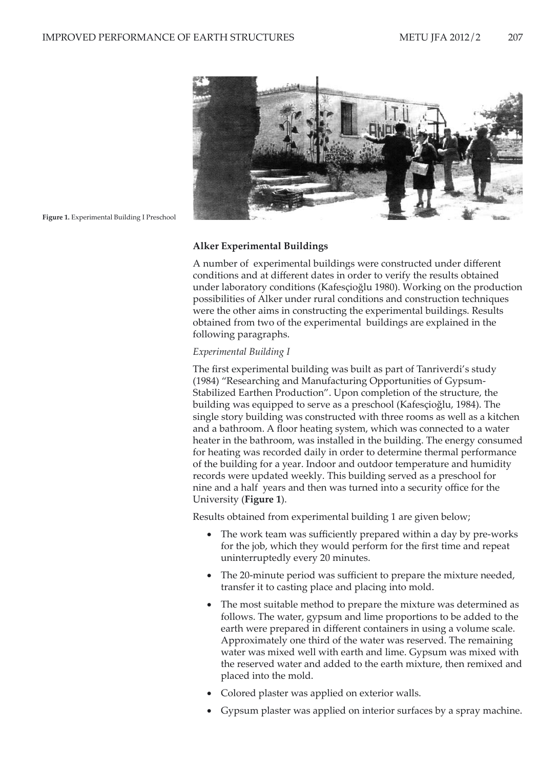

**Figure 1.** Experimental Building I Preschool

## **Alker Experimental Buildings**

A number of experimental buildings were constructed under different conditions and at different dates in order to verify the results obtained under laboratory conditions (Kafesçioğlu 1980). Working on the production possibilities of Alker under rural conditions and construction techniques were the other aims in constructing the experimental buildings. Results obtained from two of the experimental buildings are explained in the following paragraphs.

## *Experimental Building I*

The first experimental building was built as part of Tanriverdi's study (1984) "Researching and Manufacturing Opportunities of Gypsum-Stabilized Earthen Production". Upon completion of the structure, the building was equipped to serve as a preschool (Kafesçioğlu, 1984). The single story building was constructed with three rooms as well as a kitchen and a bathroom. A floor heating system, which was connected to a water heater in the bathroom, was installed in the building. The energy consumed for heating was recorded daily in order to determine thermal performance of the building for a year. Indoor and outdoor temperature and humidity records were updated weekly. This building served as a preschool for nine and a half years and then was turned into a security office for the University (**Figure 1**).

Results obtained from experimental building 1 are given below;

- The work team was sufficiently prepared within a day by pre-works for the job, which they would perform for the first time and repeat uninterruptedly every 20 minutes.
- The 20-minute period was sufficient to prepare the mixture needed, transfer it to casting place and placing into mold.
- The most suitable method to prepare the mixture was determined as follows. The water, gypsum and lime proportions to be added to the earth were prepared in different containers in using a volume scale. Approximately one third of the water was reserved. The remaining water was mixed well with earth and lime. Gypsum was mixed with the reserved water and added to the earth mixture, then remixed and placed into the mold.
- Colored plaster was applied on exterior walls.
- Gypsum plaster was applied on interior surfaces by a spray machine.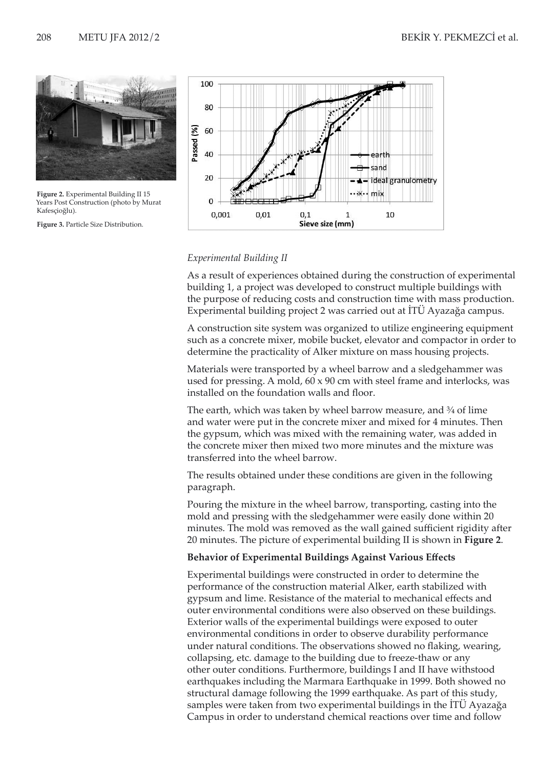

**Figure 2.** Experimental Building II 15 Years Post Construction (photo by Murat Kafesçioğlu).

**Figure 3.** Particle Size Distribution.



## *Experimental Building II*

As a result of experiences obtained during the construction of experimental building 1, a project was developed to construct multiple buildings with the purpose of reducing costs and construction time with mass production. Experimental building project 2 was carried out at İTÜ Ayazağa campus.

A construction site system was organized to utilize engineering equipment such as a concrete mixer, mobile bucket, elevator and compactor in order to determine the practicality of Alker mixture on mass housing projects.

Materials were transported by a wheel barrow and a sledgehammer was used for pressing. A mold, 60 x 90 cm with steel frame and interlocks, was installed on the foundation walls and floor.

The earth, which was taken by wheel barrow measure, and 34 of lime and water were put in the concrete mixer and mixed for 4 minutes. Then the gypsum, which was mixed with the remaining water, was added in the concrete mixer then mixed two more minutes and the mixture was transferred into the wheel barrow.

The results obtained under these conditions are given in the following paragraph.

Pouring the mixture in the wheel barrow, transporting, casting into the mold and pressing with the sledgehammer were easily done within 20 minutes. The mold was removed as the wall gained sufficient rigidity after 20 minutes. The picture of experimental building II is shown in **Figure 2**.

## **Behavior of Experimental Buildings Against Various Effects**

Experimental buildings were constructed in order to determine the performance of the construction material Alker, earth stabilized with gypsum and lime. Resistance of the material to mechanical effects and outer environmental conditions were also observed on these buildings. Exterior walls of the experimental buildings were exposed to outer environmental conditions in order to observe durability performance under natural conditions. The observations showed no flaking, wearing, collapsing, etc. damage to the building due to freeze-thaw or any other outer conditions. Furthermore, buildings I and II have withstood earthquakes including the Marmara Earthquake in 1999. Both showed no structural damage following the 1999 earthquake. As part of this study, samples were taken from two experimental buildings in the İTÜ Ayazağa Campus in order to understand chemical reactions over time and follow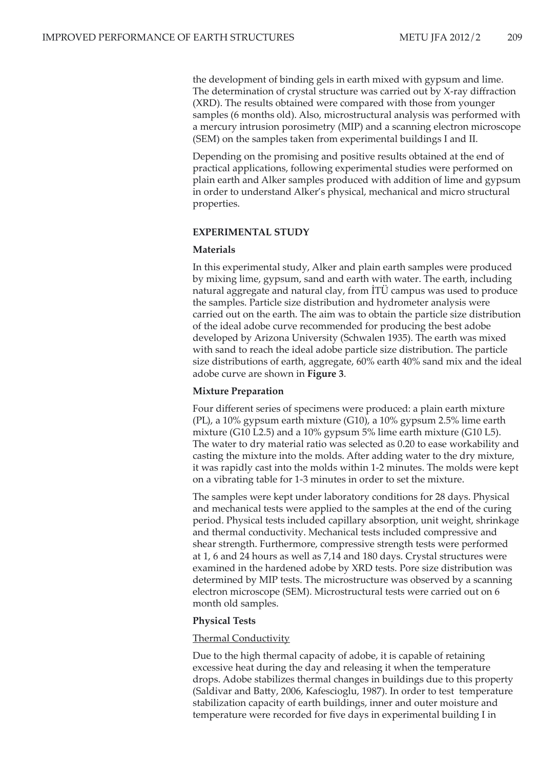the development of binding gels in earth mixed with gypsum and lime. The determination of crystal structure was carried out by X-ray diffraction (XRD). The results obtained were compared with those from younger samples (6 months old). Also, microstructural analysis was performed with a mercury intrusion porosimetry (MIP) and a scanning electron microscope (SEM) on the samples taken from experimental buildings I and II.

Depending on the promising and positive results obtained at the end of practical applications, following experimental studies were performed on plain earth and Alker samples produced with addition of lime and gypsum in order to understand Alker's physical, mechanical and micro structural properties.

## **EXPERIMENTAL STUDY**

#### **Materials**

In this experimental study, Alker and plain earth samples were produced by mixing lime, gypsum, sand and earth with water. The earth, including natural aggregate and natural clay, from İTÜ campus was used to produce the samples. Particle size distribution and hydrometer analysis were carried out on the earth. The aim was to obtain the particle size distribution of the ideal adobe curve recommended for producing the best adobe developed by Arizona University (Schwalen 1935). The earth was mixed with sand to reach the ideal adobe particle size distribution. The particle size distributions of earth, aggregate, 60% earth 40% sand mix and the ideal adobe curve are shown in **Figure 3**.

## **Mixture Preparation**

Four different series of specimens were produced: a plain earth mixture (PL), a 10% gypsum earth mixture (G10), a 10% gypsum 2.5% lime earth mixture (G10 L2.5) and a 10% gypsum 5% lime earth mixture (G10 L5). The water to dry material ratio was selected as 0.20 to ease workability and casting the mixture into the molds. After adding water to the dry mixture, it was rapidly cast into the molds within 1-2 minutes. The molds were kept on a vibrating table for 1-3 minutes in order to set the mixture.

The samples were kept under laboratory conditions for 28 days. Physical and mechanical tests were applied to the samples at the end of the curing period. Physical tests included capillary absorption, unit weight, shrinkage and thermal conductivity. Mechanical tests included compressive and shear strength. Furthermore, compressive strength tests were performed at 1, 6 and 24 hours as well as 7,14 and 180 days. Crystal structures were examined in the hardened adobe by XRD tests. Pore size distribution was determined by MIP tests. The microstructure was observed by a scanning electron microscope (SEM). Microstructural tests were carried out on 6 month old samples.

## **Physical Tests**

## Thermal Conductivity

Due to the high thermal capacity of adobe, it is capable of retaining excessive heat during the day and releasing it when the temperature drops. Adobe stabilizes thermal changes in buildings due to this property (Saldivar and Batty, 2006, Kafescioglu, 1987). In order to test temperature stabilization capacity of earth buildings, inner and outer moisture and temperature were recorded for five days in experimental building I in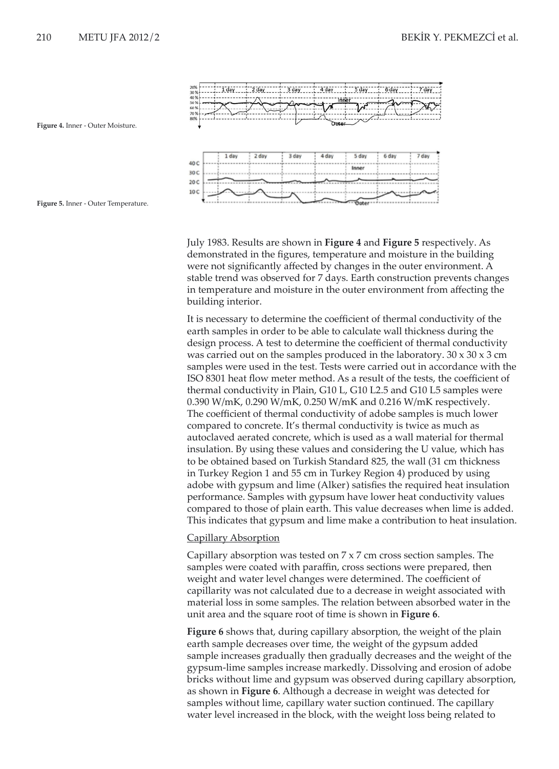

July 1983. Results are shown in **Figure 4** and **Figure 5** respectively. As demonstrated in the figures, temperature and moisture in the building were not significantly affected by changes in the outer environment. A stable trend was observed for 7 days. Earth construction prevents changes in temperature and moisture in the outer environment from affecting the building interior.

It is necessary to determine the coefficient of thermal conductivity of the earth samples in order to be able to calculate wall thickness during the design process. A test to determine the coefficient of thermal conductivity was carried out on the samples produced in the laboratory.  $30 \times 30 \times 3$  cm samples were used in the test. Tests were carried out in accordance with the ISO 8301 heat flow meter method. As a result of the tests, the coefficient of thermal conductivity in Plain, G10 L, G10 L2.5 and G10 L5 samples were 0.390 W/mK, 0.290 W/mK, 0.250 W/mK and 0.216 W/mK respectively. The coefficient of thermal conductivity of adobe samples is much lower compared to concrete. It's thermal conductivity is twice as much as autoclaved aerated concrete, which is used as a wall material for thermal insulation. By using these values and considering the U value, which has to be obtained based on Turkish Standard 825, the wall (31 cm thickness in Turkey Region 1 and 55 cm in Turkey Region 4) produced by using adobe with gypsum and lime (Alker) satisfies the required heat insulation performance. Samples with gypsum have lower heat conductivity values compared to those of plain earth. This value decreases when lime is added. This indicates that gypsum and lime make a contribution to heat insulation.

## Capillary Absorption

Capillary absorption was tested on 7 x 7 cm cross section samples. The samples were coated with paraffin, cross sections were prepared, then weight and water level changes were determined. The coefficient of capillarity was not calculated due to a decrease in weight associated with material loss in some samples. The relation between absorbed water in the unit area and the square root of time is shown in **Figure 6**.

**Figure 6** shows that, during capillary absorption, the weight of the plain earth sample decreases over time, the weight of the gypsum added sample increases gradually then gradually decreases and the weight of the gypsum-lime samples increase markedly. Dissolving and erosion of adobe bricks without lime and gypsum was observed during capillary absorption, as shown in **Figure 6**. Although a decrease in weight was detected for samples without lime, capillary water suction continued. The capillary water level increased in the block, with the weight loss being related to

**Figure 5.** Inner - Outer Temperature.

**Figure 4.** Inner - Outer Moisture.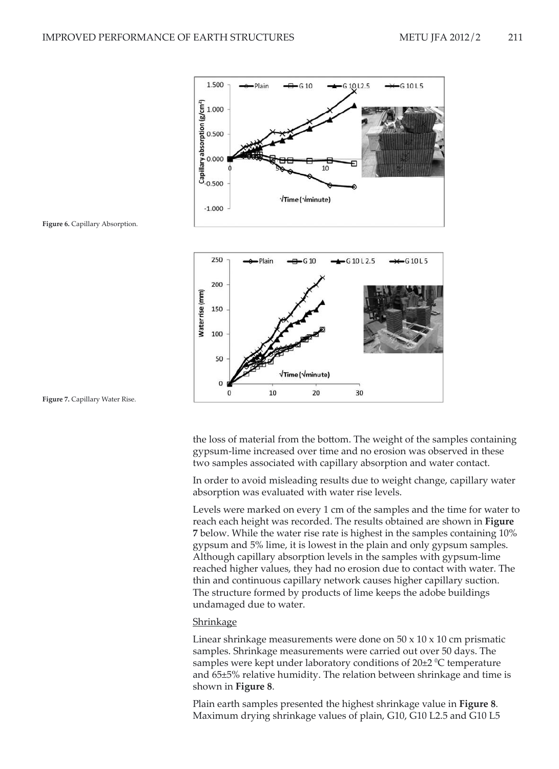

 $20$ 

**Figure 6.** Capillary Absorption.



the loss of material from the bottom. The weight of the samples containing gypsum-lime increased over time and no erosion was observed in these two samples associated with capillary absorption and water contact.

 $30^{\circ}$ 

In order to avoid misleading results due to weight change, capillary water absorption was evaluated with water rise levels.

Levels were marked on every 1 cm of the samples and the time for water to reach each height was recorded. The results obtained are shown in **Figure 7** below. While the water rise rate is highest in the samples containing 10% gypsum and 5% lime, it is lowest in the plain and only gypsum samples. Although capillary absorption levels in the samples with gypsum-lime reached higher values, they had no erosion due to contact with water. The thin and continuous capillary network causes higher capillary suction. The structure formed by products of lime keeps the adobe buildings undamaged due to water.

#### **Shrinkage**

 $\overline{0}$ 

10

Linear shrinkage measurements were done on  $50 \times 10 \times 10$  cm prismatic samples. Shrinkage measurements were carried out over 50 days. The samples were kept under laboratory conditions of  $20\pm 2$  °C temperature and 65±5% relative humidity. The relation between shrinkage and time is shown in **Figure 8**.

Plain earth samples presented the highest shrinkage value in **Figure 8**. Maximum drying shrinkage values of plain, G10, G10 L2.5 and G10 L5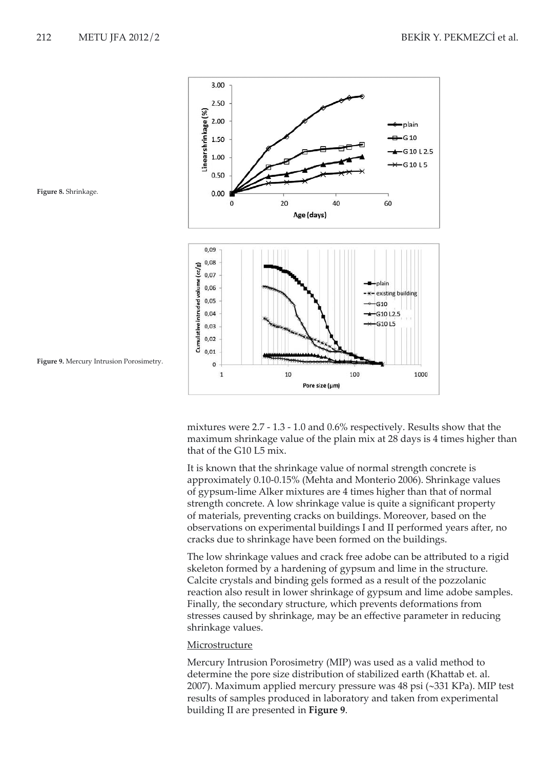

**Figure 8.** Shrinkage.

**Figure 9.** Mercury Intrusion Porosimetry.

mixtures were 2.7 - 1.3 - 1.0 and 0.6% respectively. Results show that the maximum shrinkage value of the plain mix at 28 days is 4 times higher than that of the G10 L5 mix.

It is known that the shrinkage value of normal strength concrete is approximately 0.10-0.15% (Mehta and Monterio 2006). Shrinkage values of gypsum-lime Alker mixtures are 4 times higher than that of normal strength concrete. A low shrinkage value is quite a significant property of materials, preventing cracks on buildings. Moreover, based on the observations on experimental buildings I and II performed years after, no cracks due to shrinkage have been formed on the buildings.

The low shrinkage values and crack free adobe can be attributed to a rigid skeleton formed by a hardening of gypsum and lime in the structure. Calcite crystals and binding gels formed as a result of the pozzolanic reaction also result in lower shrinkage of gypsum and lime adobe samples. Finally, the secondary structure, which prevents deformations from stresses caused by shrinkage, may be an effective parameter in reducing shrinkage values.

## Microstructure

Mercury Intrusion Porosimetry (MIP) was used as a valid method to determine the pore size distribution of stabilized earth (Khattab et. al. 2007). Maximum applied mercury pressure was 48 psi (∼331 KPa). MIP test results of samples produced in laboratory and taken from experimental building II are presented in **Figure 9**.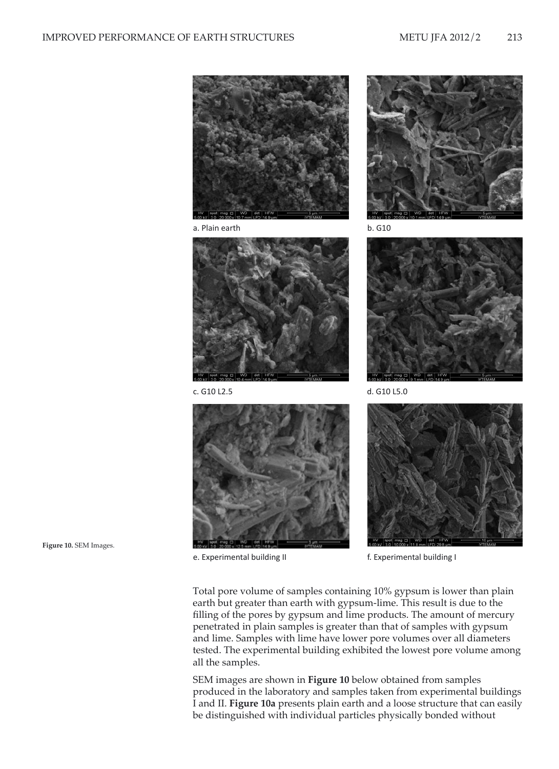

a. Plain earth b. G10







c. G10 L2.5 d. G10 L5.0



e. Experimental building II f. Experimental building I



Total pore volume of samples containing 10% gypsum is lower than plain earth but greater than earth with gypsum-lime. This result is due to the filling of the pores by gypsum and lime products. The amount of mercury penetrated in plain samples is greater than that of samples with gypsum and lime. Samples with lime have lower pore volumes over all diameters tested. The experimental building exhibited the lowest pore volume among all the samples.

SEM images are shown in **Figure 10** below obtained from samples produced in the laboratory and samples taken from experimental buildings I and II. **Figure 10a** presents plain earth and a loose structure that can easily be distinguished with individual particles physically bonded without

**Figure 10.** SEM Images.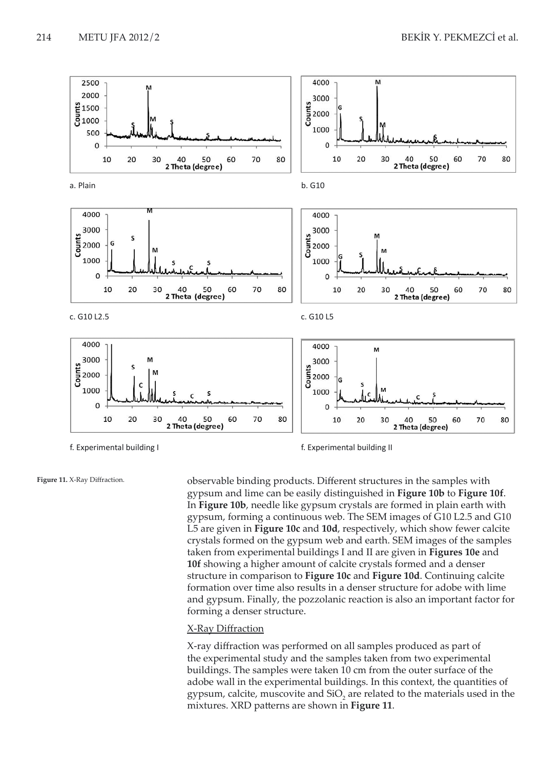

**Figure 11.** X-Ray Diffraction.

observable binding products. Different structures in the samples with gypsum and lime can be easily distinguished in **Figure 10b** to **Figure 10f**. In **Figure 10b**, needle like gypsum crystals are formed in plain earth with gypsum, forming a continuous web. The SEM images of G10 L2.5 and G10 L5 are given in **Figure 10c** and **10d**, respectively, which show fewer calcite crystals formed on the gypsum web and earth. SEM images of the samples taken from experimental buildings I and II are given in **Figures 10e** and **10f** showing a higher amount of calcite crystals formed and a denser structure in comparison to **Figure 10c** and **Figure 10d**. Continuing calcite formation over time also results in a denser structure for adobe with lime and gypsum. Finally, the pozzolanic reaction is also an important factor for forming a denser structure.

## X-Ray Diffraction

X-ray diffraction was performed on all samples produced as part of the experimental study and the samples taken from two experimental buildings. The samples were taken 10 cm from the outer surface of the adobe wall in the experimental buildings. In this context, the quantities of gypsum, calcite, muscovite and  $\rm SiO_{2}$  are related to the materials used in the mixtures. XRD patterns are shown in **Figure 11**.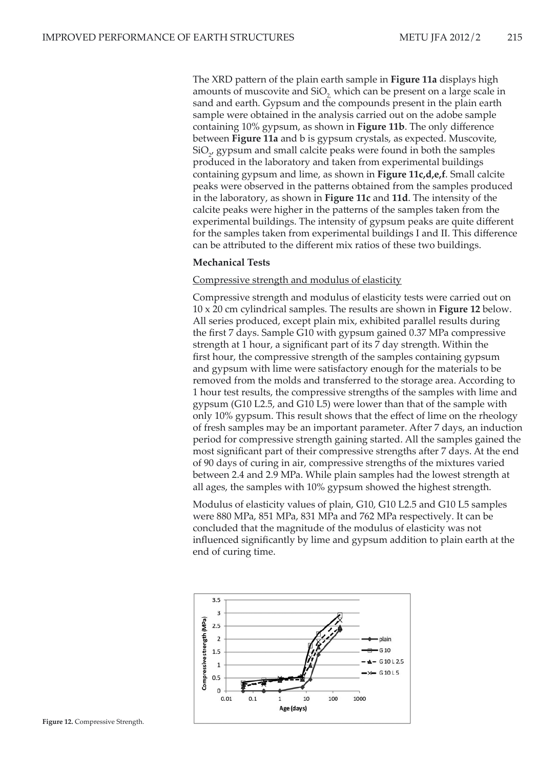The XRD pattern of the plain earth sample in **Figure 11a** displays high amounts of muscovite and SiO<sub>2</sub>, which can be present on a large scale in sand and earth. Gypsum and the compounds present in the plain earth sample were obtained in the analysis carried out on the adobe sample containing 10% gypsum, as shown in **Figure 11b**. The only difference between **Figure 11a** and b is gypsum crystals, as expected. Muscovite,  $\mathrm{SiO}_{2'}$  gypsum and small calcite peaks were found in both the samples produced in the laboratory and taken from experimental buildings containing gypsum and lime, as shown in **Figure 11c,d,e,f**. Small calcite peaks were observed in the patterns obtained from the samples produced in the laboratory, as shown in **Figure 11c** and **11d**. The intensity of the calcite peaks were higher in the patterns of the samples taken from the experimental buildings. The intensity of gypsum peaks are quite different for the samples taken from experimental buildings I and II. This difference can be attributed to the different mix ratios of these two buildings.

## **Mechanical Tests**

## Compressive strength and modulus of elasticity

Compressive strength and modulus of elasticity tests were carried out on 10 x 20 cm cylindrical samples. The results are shown in **Figure 12** below. All series produced, except plain mix, exhibited parallel results during the first 7 days. Sample G10 with gypsum gained 0.37 MPa compressive strength at 1 hour, a significant part of its 7 day strength. Within the first hour, the compressive strength of the samples containing gypsum and gypsum with lime were satisfactory enough for the materials to be removed from the molds and transferred to the storage area. According to 1 hour test results, the compressive strengths of the samples with lime and gypsum (G10 L2.5, and G10 L5) were lower than that of the sample with only 10% gypsum. This result shows that the effect of lime on the rheology of fresh samples may be an important parameter. After 7 days, an induction period for compressive strength gaining started. All the samples gained the most significant part of their compressive strengths after 7 days. At the end of 90 days of curing in air, compressive strengths of the mixtures varied between 2.4 and 2.9 MPa. While plain samples had the lowest strength at all ages, the samples with 10% gypsum showed the highest strength.

Modulus of elasticity values of plain, G10, G10 L2.5 and G10 L5 samples were 880 MPa, 851 MPa, 831 MPa and 762 MPa respectively. It can be concluded that the magnitude of the modulus of elasticity was not influenced significantly by lime and gypsum addition to plain earth at the end of curing time.

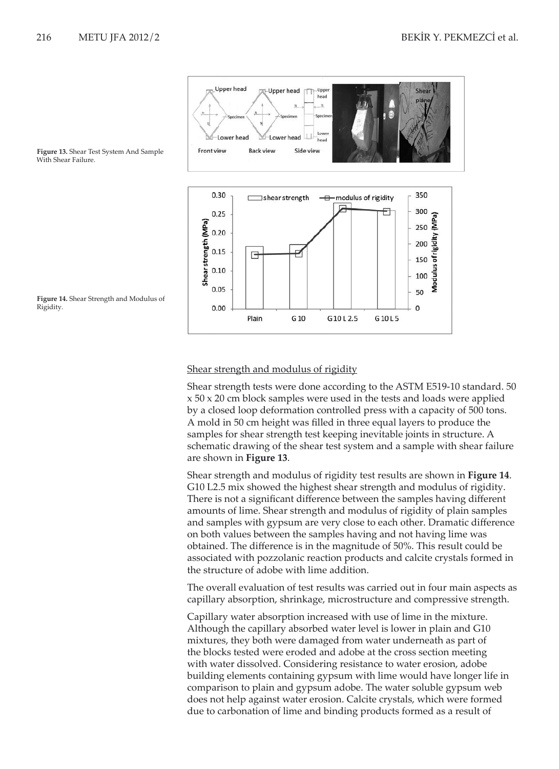350







**Figure 14.** Shear Strength and Modulus of Rigidity.

## Shear strength and modulus of rigidity

Shear strength tests were done according to the ASTM E519-10 standard. 50 x 50 x 20 cm block samples were used in the tests and loads were applied by a closed loop deformation controlled press with a capacity of 500 tons. A mold in 50 cm height was filled in three equal layers to produce the samples for shear strength test keeping inevitable joints in structure. A schematic drawing of the shear test system and a sample with shear failure are shown in **Figure 13**.

Shear strength and modulus of rigidity test results are shown in **Figure 14**. G10 L2.5 mix showed the highest shear strength and modulus of rigidity. There is not a significant difference between the samples having different amounts of lime. Shear strength and modulus of rigidity of plain samples and samples with gypsum are very close to each other. Dramatic difference on both values between the samples having and not having lime was obtained. The difference is in the magnitude of 50%. This result could be associated with pozzolanic reaction products and calcite crystals formed in the structure of adobe with lime addition.

The overall evaluation of test results was carried out in four main aspects as capillary absorption, shrinkage, microstructure and compressive strength.

Capillary water absorption increased with use of lime in the mixture. Although the capillary absorbed water level is lower in plain and G10 mixtures, they both were damaged from water underneath as part of the blocks tested were eroded and adobe at the cross section meeting with water dissolved. Considering resistance to water erosion, adobe building elements containing gypsum with lime would have longer life in comparison to plain and gypsum adobe. The water soluble gypsum web does not help against water erosion. Calcite crystals, which were formed due to carbonation of lime and binding products formed as a result of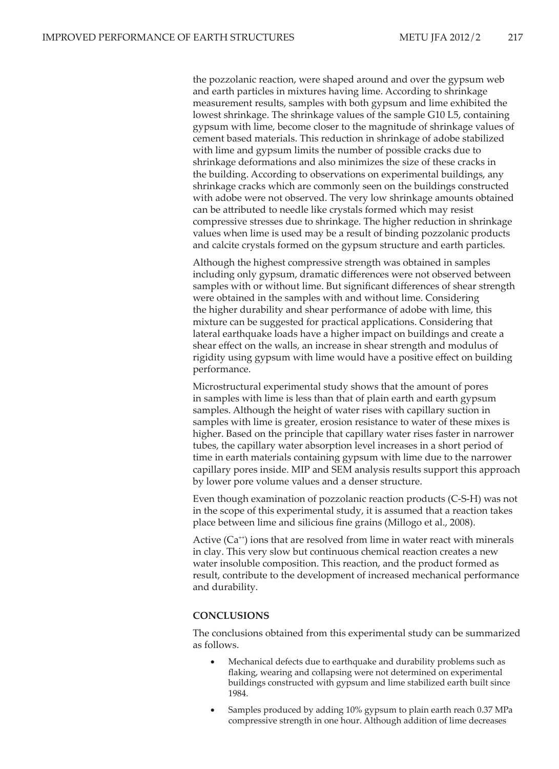the pozzolanic reaction, were shaped around and over the gypsum web and earth particles in mixtures having lime. According to shrinkage measurement results, samples with both gypsum and lime exhibited the lowest shrinkage. The shrinkage values of the sample G10 L5, containing gypsum with lime, become closer to the magnitude of shrinkage values of cement based materials. This reduction in shrinkage of adobe stabilized with lime and gypsum limits the number of possible cracks due to shrinkage deformations and also minimizes the size of these cracks in the building. According to observations on experimental buildings, any shrinkage cracks which are commonly seen on the buildings constructed with adobe were not observed. The very low shrinkage amounts obtained can be attributed to needle like crystals formed which may resist compressive stresses due to shrinkage. The higher reduction in shrinkage values when lime is used may be a result of binding pozzolanic products and calcite crystals formed on the gypsum structure and earth particles.

Although the highest compressive strength was obtained in samples including only gypsum, dramatic differences were not observed between samples with or without lime. But significant differences of shear strength were obtained in the samples with and without lime. Considering the higher durability and shear performance of adobe with lime, this mixture can be suggested for practical applications. Considering that lateral earthquake loads have a higher impact on buildings and create a shear effect on the walls, an increase in shear strength and modulus of rigidity using gypsum with lime would have a positive effect on building performance.

Microstructural experimental study shows that the amount of pores in samples with lime is less than that of plain earth and earth gypsum samples. Although the height of water rises with capillary suction in samples with lime is greater, erosion resistance to water of these mixes is higher. Based on the principle that capillary water rises faster in narrower tubes, the capillary water absorption level increases in a short period of time in earth materials containing gypsum with lime due to the narrower capillary pores inside. MIP and SEM analysis results support this approach by lower pore volume values and a denser structure.

Even though examination of pozzolanic reaction products (C-S-H) was not in the scope of this experimental study, it is assumed that a reaction takes place between lime and silicious fine grains (Millogo et al., 2008).

Active  $(Ca^{+})$  ions that are resolved from lime in water react with minerals in clay. This very slow but continuous chemical reaction creates a new water insoluble composition. This reaction, and the product formed as result, contribute to the development of increased mechanical performance and durability.

## **CONCLUSIONS**

The conclusions obtained from this experimental study can be summarized as follows.

- Mechanical defects due to earthquake and durability problems such as flaking, wearing and collapsing were not determined on experimental buildings constructed with gypsum and lime stabilized earth built since 1984.
- Samples produced by adding 10% gypsum to plain earth reach 0.37 MPa compressive strength in one hour. Although addition of lime decreases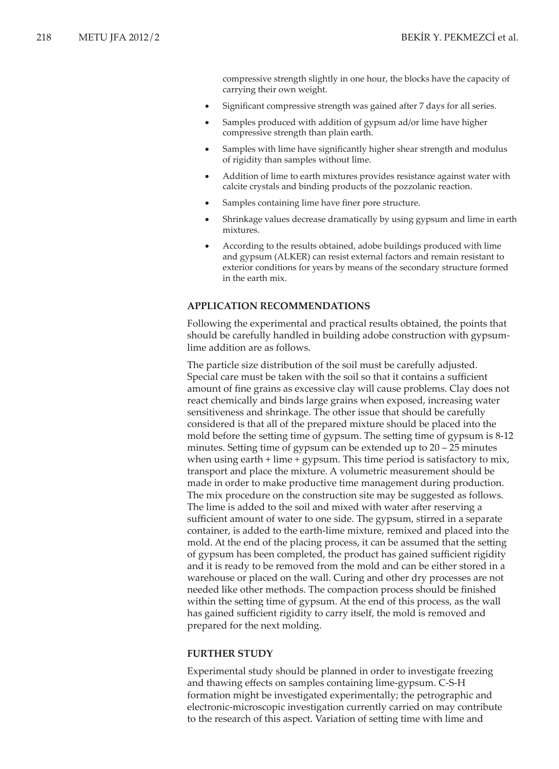compressive strength slightly in one hour, the blocks have the capacity of carrying their own weight.

- • Significant compressive strength was gained after 7 days for all series.
- Samples produced with addition of gypsum ad/or lime have higher compressive strength than plain earth.
- Samples with lime have significantly higher shear strength and modulus of rigidity than samples without lime.
- Addition of lime to earth mixtures provides resistance against water with calcite crystals and binding products of the pozzolanic reaction.
- Samples containing lime have finer pore structure.
- Shrinkage values decrease dramatically by using gypsum and lime in earth mixtures.
- According to the results obtained, adobe buildings produced with lime and gypsum (ALKER) can resist external factors and remain resistant to exterior conditions for years by means of the secondary structure formed in the earth mix.

#### **APPLICATION RECOMMENDATIONS**

Following the experimental and practical results obtained, the points that should be carefully handled in building adobe construction with gypsumlime addition are as follows.

The particle size distribution of the soil must be carefully adjusted. Special care must be taken with the soil so that it contains a sufficient amount of fine grains as excessive clay will cause problems. Clay does not react chemically and binds large grains when exposed, increasing water sensitiveness and shrinkage. The other issue that should be carefully considered is that all of the prepared mixture should be placed into the mold before the setting time of gypsum. The setting time of gypsum is 8-12 minutes. Setting time of gypsum can be extended up to 20 – 25 minutes when using earth + lime + gypsum. This time period is satisfactory to mix, transport and place the mixture. A volumetric measurement should be made in order to make productive time management during production. The mix procedure on the construction site may be suggested as follows. The lime is added to the soil and mixed with water after reserving a sufficient amount of water to one side. The gypsum, stirred in a separate container, is added to the earth-lime mixture, remixed and placed into the mold. At the end of the placing process, it can be assumed that the setting of gypsum has been completed, the product has gained sufficient rigidity and it is ready to be removed from the mold and can be either stored in a warehouse or placed on the wall. Curing and other dry processes are not needed like other methods. The compaction process should be finished within the setting time of gypsum. At the end of this process, as the wall has gained sufficient rigidity to carry itself, the mold is removed and prepared for the next molding.

## **FURTHER STUDY**

Experimental study should be planned in order to investigate freezing and thawing effects on samples containing lime-gypsum. C-S-H formation might be investigated experimentally; the petrographic and electronic-microscopic investigation currently carried on may contribute to the research of this aspect. Variation of setting time with lime and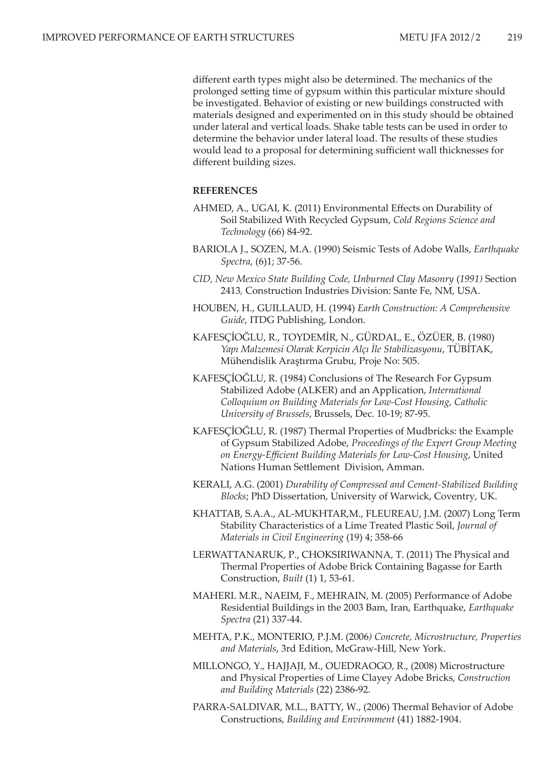different earth types might also be determined. The mechanics of the prolonged setting time of gypsum within this particular mixture should be investigated. Behavior of existing or new buildings constructed with materials designed and experimented on in this study should be obtained under lateral and vertical loads. Shake table tests can be used in order to determine the behavior under lateral load. The results of these studies would lead to a proposal for determining sufficient wall thicknesses for different building sizes.

## **REFERENCES**

- AHMED, A., UGAI, K. (2011) Environmental Effects on Durability of Soil Stabilized With Recycled Gypsum, *Cold Regions Science and Technology* (66) 84-92.
- BARIOLA J., SOZEN, M.A. (1990) Seismic Tests of Adobe Walls, *Earthquake Spectra*, (6)1; 37-56.
- *CID, New Mexico State Building Code, Unburned Clay Masonry* (*1991)* Section 2413*,* Construction Industries Division: Sante Fe, NM, USA.
- HOUBEN, H., GUILLAUD, H. (1994) *Earth Construction: A Comprehensive Guide*, ITDG Publishing, London.
- KAFESÇİOĞLU, R., TOYDEMİR, N., GÜRDAL, E., ÖZÜER, B. (1980) *Yapı Malzemesi Olarak Kerpicin Alçı İle Stabilizasyonu*, TÜBİTAK, Mühendislik Araştırma Grubu, Proje No: 505.
- KAFESÇİOĞLU, R. (1984) Conclusions of The Research For Gypsum Stabilized Adobe (ALKER) and an Application, *International Colloquium on Building Materials for Low-Cost Housing, Catholic University of Brussels*, Brussels, Dec. 10-19; 87-95.
- KAFESÇİOĞLU, R. (1987) Thermal Properties of Mudbricks: the Example of Gypsum Stabilized Adobe, *Proceedings of the Expert Group Meeting on Energy-Efficient Building Materials for Low-Cost Housing*, United Nations Human Settlement Division, Amman.
- KERALI, A.G. (2001) *Durability of Compressed and Cement-Stabilized Building Blocks*; PhD Dissertation, University of Warwick, Coventry, UK.
- KHATTAB, S.A.A., AL-MUKHTAR,M., FLEUREAU, J.M. (2007) Long Term Stability Characteristics of a Lime Treated Plastic Soil, *Journal of Materials in Civil Engineering* (19) 4; 358-66
- LERWATTANARUK, P., CHOKSIRIWANNA, T. (2011) The Physical and Thermal Properties of Adobe Brick Containing Bagasse for Earth Construction, *Built* (1) 1, 53-61.
- MAHERI. M.R., NAEIM, F., MEHRAIN, M. (2005) Performance of Adobe Residential Buildings in the 2003 Bam, Iran, Earthquake, *Earthquake Spectra* (21) 337-44.
- MEHTA, P.K., MONTERIO, P.J.M. (2006*) Concrete, Microstructure, Properties and Materials*, 3rd Edition, McGraw-Hill, New York.
- MILLONGO, Y., HAJJAJI, M., OUEDRAOGO, R., (2008) Microstructure and Physical Properties of Lime Clayey Adobe Bricks, *Construction and Building Materials* (22) 2386-92.
- PARRA-SALDIVAR, M.L., BATTY, W., (2006) Thermal Behavior of Adobe Constructions, *Building and Environment* (41) 1882-1904.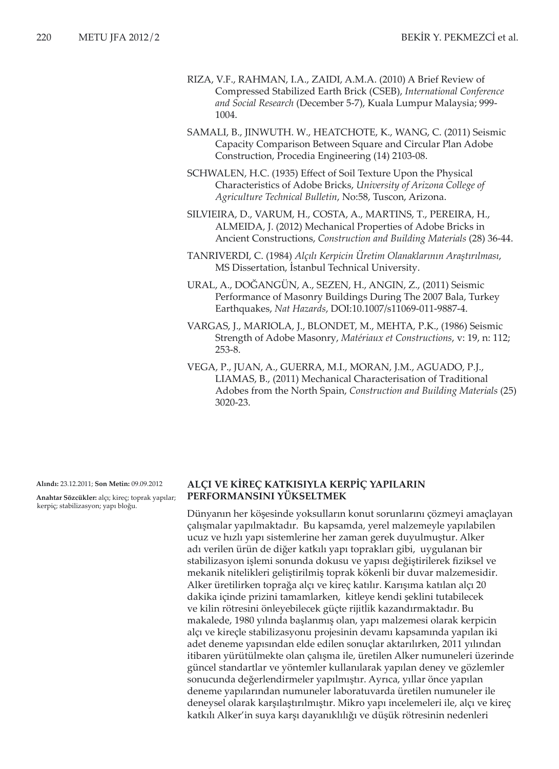- RIZA, V.F., RAHMAN, I.A., ZAIDI, A.M.A. (2010) A Brief Review of Compressed Stabilized Earth Brick (CSEB), *International Conference and Social Research* (December 5-7), Kuala Lumpur Malaysia; 999- 1004.
- SAMALI, B., JINWUTH. W., HEATCHOTE, K., WANG, C. (2011) Seismic Capacity Comparison Between Square and Circular Plan Adobe Construction, Procedia Engineering (14) 2103-08.
- SCHWALEN, H.C. (1935) Effect of Soil Texture Upon the Physical Characteristics of Adobe Bricks, *University of Arizona College of Agriculture Technical Bulletin*, No:58, Tuscon, Arizona.
- SILVIEIRA, D., VARUM, H., COSTA, A., MARTINS, T., PEREIRA, H., ALMEIDA, J. (2012) Mechanical Properties of Adobe Bricks in Ancient Constructions, *Construction and Building Materials* (28) 36-44.
- TANRIVERDI, C. (1984) *Alçılı Kerpicin Üretim Olanaklarının Araştırılması*, MS Dissertation, İstanbul Technical University.
- URAL, A., DOĞANGÜN, A., SEZEN, H., ANGIN, Z., (2011) Seismic Performance of Masonry Buildings During The 2007 Bala, Turkey Earthquakes, *Nat Hazards*, DOI:10.1007/s11069-011-9887-4.
- VARGAS, J., MARIOLA, J., BLONDET, M., MEHTA, P.K., (1986) Seismic Strength of Adobe Masonry, *Matériaux et Constructions*, v: 19, n: 112; 253-8.
- VEGA, P., JUAN, A., GUERRA, M.I., MORAN, J.M., AGUADO, P.J., LIAMAS, B., (2011) Mechanical Characterisation of Traditional Adobes from the North Spain, *Construction and Building Materials* (25) 3020-23.

**Alındı:** 23.12.2011; **Son Metin:** 09.09.2012

**Anahtar Sözcükler:** alçı; kireç; toprak yapılar; kerpiç; stabilizasyon; yapı bloğu.

## **ALÇI VE KİREÇ KATKISIYLA KERPİÇ YAPILARIN PERFORMANSINI YÜKSELTMEK**

Dünyanın her köşesinde yoksulların konut sorunlarını çözmeyi amaçlayan çalışmalar yapılmaktadır. Bu kapsamda, yerel malzemeyle yapılabilen ucuz ve hızlı yapı sistemlerine her zaman gerek duyulmuştur. Alker adı verilen ürün de diğer katkılı yapı toprakları gibi, uygulanan bir stabilizasyon işlemi sonunda dokusu ve yapısı değiştirilerek fiziksel ve mekanik nitelikleri geliştirilmiş toprak kökenli bir duvar malzemesidir. Alker üretilirken toprağa alçı ve kireç katılır. Karışıma katılan alçı 20 dakika içinde prizini tamamlarken, kitleye kendi şeklini tutabilecek ve kilin rötresini önleyebilecek güçte rijitlik kazandırmaktadır. Bu makalede, 1980 yılında başlanmış olan, yapı malzemesi olarak kerpicin alçı ve kireçle stabilizasyonu projesinin devamı kapsamında yapılan iki adet deneme yapısından elde edilen sonuçlar aktarılırken, 2011 yılından itibaren yürütülmekte olan çalışma ile, üretilen Alker numuneleri üzerinde güncel standartlar ve yöntemler kullanılarak yapılan deney ve gözlemler sonucunda değerlendirmeler yapılmıştır. Ayrıca, yıllar önce yapılan deneme yapılarından numuneler laboratuvarda üretilen numuneler ile deneysel olarak karşılaştırılmıştır. Mikro yapı incelemeleri ile, alçı ve kireç katkılı Alker'in suya karşı dayanıklılığı ve düşük rötresinin nedenleri